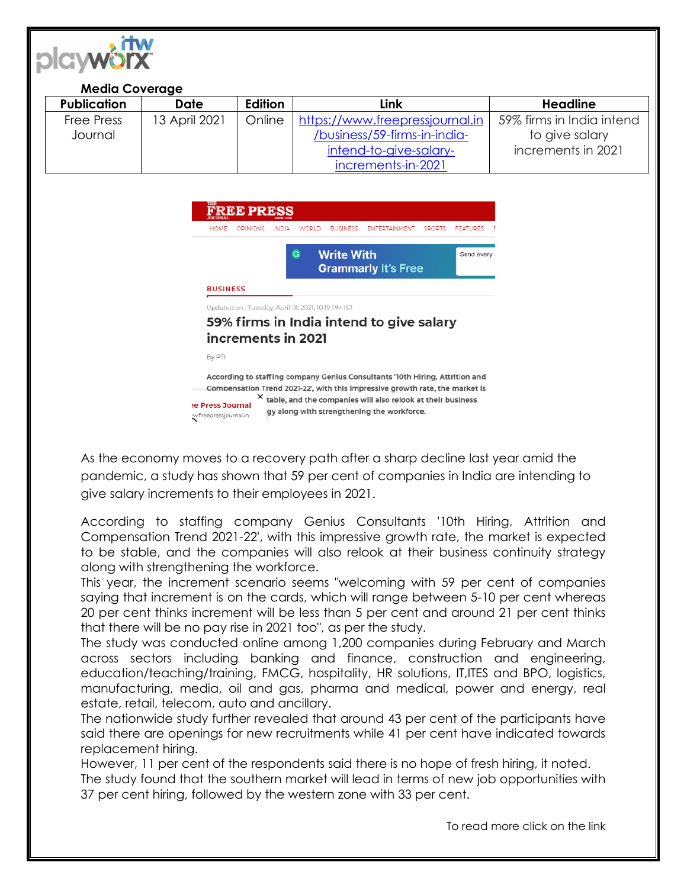

## **Media Coverage**

| <b>Publication</b> | Date          | <b>Edition</b> | Link                            | Headline                  |
|--------------------|---------------|----------------|---------------------------------|---------------------------|
| <b>Free Press</b>  | 13 April 2021 | Online         | https://www.freepressjournal.in | 59% firms in India intend |
| Journal            |               |                | /business/59-firms-in-india-    | to give salary            |
|                    |               |                | intend-to-give-salary-          | increments in 2021        |
|                    |               |                | increments-in-2021              |                           |

| <b>THE</b><br><b>JOURNAL</b> | <b>FREE PRESS</b>                                  |              |                                                                   |                 |               |               |                       |  |
|------------------------------|----------------------------------------------------|--------------|-------------------------------------------------------------------|-----------------|---------------|---------------|-----------------------|--|
| <b>HOME</b>                  | <b>OPINIONS</b>                                    | <b>INDIA</b> | <b>WORLD</b>                                                      | <b>BUSINESS</b> | FNTFRTAINMENT | <b>SPORTS</b> | FEATURES              |  |
|                              |                                                    |              | <b>Write With</b><br>$\overline{G}$<br><b>Grammarly It's Free</b> |                 |               |               | Send every $\epsilon$ |  |
| <b>BUSINESS</b>              |                                                    |              |                                                                   |                 |               |               |                       |  |
|                              | Updated on : Tuesday, April 13, 2021, 10:19 PM IST |              |                                                                   |                 |               |               |                       |  |

## 59% firms in India intend to give salary increments in 2021

By PTI

According to staffing company Genius Consultants '10th Hiring, Attrition and Compensation Trend 2021-22', with this impressive growth rate, the market is X table, and the companies will also relook at their business e Press Journal gy along with strengthening the workforce. w.freepressjournal.in

As the economy moves to a recovery path after a sharp decline last year amid the pandemic, a study has shown that 59 per cent of companies in India are intending to give salary increments to their employees in 2021.

According to staffing company Genius Consultants '10th Hiring, Attrition and Compensation Trend 2021-22', with this impressive growth rate, the market is expected to be stable, and the companies will also relook at their business continuity strategy along with strengthening the workforce.

This year, the increment scenario seems "welcoming with 59 per cent of companies saying that increment is on the cards, which will range between 5-10 per cent whereas 20 per cent thinks increment will be less than 5 per cent and around 21 per cent thinks that there will be no pay rise in 2021 too", as per the study.

The study was conducted online among 1,200 companies during February and March across sectors including banking and finance, construction and engineering, education/teaching/training, FMCG, hospitality, HR solutions, IT,ITES and BPO, logistics, manufacturing, media, oil and gas, pharma and medical, power and energy, real estate, retail, telecom, auto and ancillary.

The nationwide study further revealed that around 43 per cent of the participants have said there are openings for new recruitments while 41 per cent have indicated towards replacement hiring.

However, 11 per cent of the respondents said there is no hope of fresh hiring, it noted.

The study found that the southern market will lead in terms of new job opportunities with 37 per cent hiring, followed by the western zone with 33 per cent.

To read more click on the link